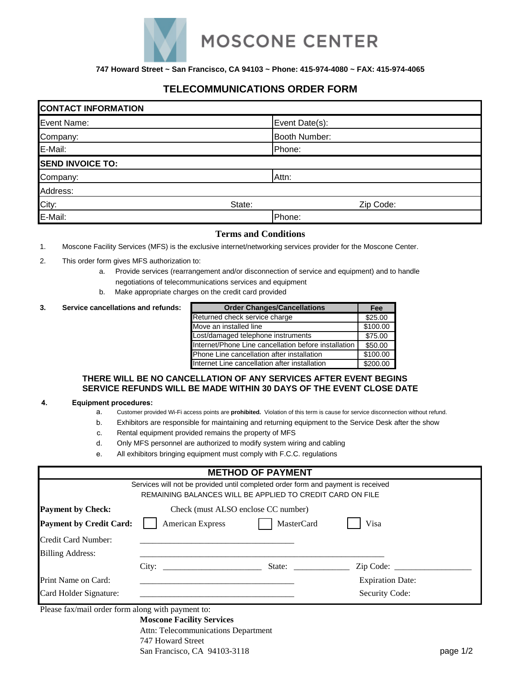

**747 Howard Street ~ San Francisco, CA 94103 ~ Phone: 415-974-4080 ~ FAX: 415-974-4065**

# **TELECOMMUNICATIONS ORDER FORM**

| <b>CONTACT INFORMATION</b> |        |                |  |  |  |
|----------------------------|--------|----------------|--|--|--|
| Event Name:                |        | Event Date(s): |  |  |  |
| Company:                   |        | Booth Number:  |  |  |  |
| E-Mail:                    |        | Phone:         |  |  |  |
| <b>SEND INVOICE TO:</b>    |        |                |  |  |  |
| Company:                   |        | Attn:          |  |  |  |
| Address:                   |        |                |  |  |  |
| City:                      | State: | Zip Code:      |  |  |  |
| E-Mail:                    |        | Phone:         |  |  |  |

## **Terms and Conditions**

- 1. Moscone Facility Services (MFS) is the exclusive internet/networking services provider for the Moscone Center.
- 2. This order form gives MFS authorization to:
	- a. Provide services (rearrangement and/or disconnection of service and equipment) and to handle negotiations of telecommunications services and equipment
	- b. Make appropriate charges on the credit card provided

#### **3.** Service cancellations and refunds:

| <b>Order Changes/Cancellations</b>                   | Fee      |
|------------------------------------------------------|----------|
| Returned check service charge                        | \$25.00  |
| Move an installed line                               | \$100.00 |
| Lost/damaged telephone instruments                   | \$75.00  |
| Internet/Phone Line cancellation before installation | \$50.00  |
| Phone Line cancellation after installation           | \$100.00 |
| Internet Line cancellation after installation        | \$200.00 |

#### **THERE WILL BE NO CANCELLATION OF ANY SERVICES AFTER EVENT BEGINS SERVICE REFUNDS WILL BE MADE WITHIN 30 DAYS OF THE EVENT CLOSE DATE**

#### **4. Equipment procedures:**

- a. Customer provided Wi-Fi access points are **prohibited.** Violation of this term is cause for service disconnection without refund.
- b. Exhibitors are responsible for maintaining and returning equipment to the Service Desk after the show
- c. Rental equipment provided remains the property of MFS
- d. Only MFS personnel are authorized to modify system wiring and cabling
- e. All exhibitors bringing equipment must comply with F.C.C. regulations

|                                                                 |                                                                                                                                               | <b>METHOD OF PAYMENT</b> |                         |  |
|-----------------------------------------------------------------|-----------------------------------------------------------------------------------------------------------------------------------------------|--------------------------|-------------------------|--|
|                                                                 | Services will not be provided until completed order form and payment is received<br>REMAINING BALANCES WILL BE APPLIED TO CREDIT CARD ON FILE |                          |                         |  |
| <b>Payment by Check:</b><br>Check (must ALSO enclose CC number) |                                                                                                                                               |                          |                         |  |
| <b>Payment by Credit Card:</b>                                  | <b>American Express</b>                                                                                                                       | <b>MasterCard</b>        | Visa                    |  |
| Credit Card Number:                                             |                                                                                                                                               |                          |                         |  |
| <b>Billing Address:</b>                                         |                                                                                                                                               |                          |                         |  |
|                                                                 | City:                                                                                                                                         | State:                   | Zip Code:               |  |
| Print Name on Card:                                             |                                                                                                                                               |                          | <b>Expiration Date:</b> |  |
| Card Holder Signature:                                          |                                                                                                                                               |                          | Security Code:          |  |

Please fax/mail order form along with payment to:

**Moscone Facility Services** Attn: Telecommunications Department 747 Howard Street San Francisco, CA 94103-3118 page 1/2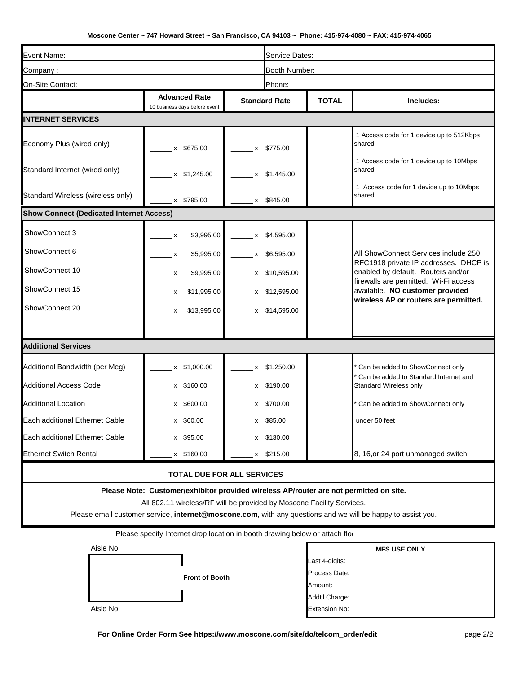## **Moscone Center ~ 747 Howard Street ~ San Francisco, CA 94103 ~ Phone: 415-974-4080 ~ FAX: 415-974-4065**

| Event Name:                                                                                                                                                     |                                                                             |                 | Service Dates:       |                |                                                                             |
|-----------------------------------------------------------------------------------------------------------------------------------------------------------------|-----------------------------------------------------------------------------|-----------------|----------------------|----------------|-----------------------------------------------------------------------------|
| Company:                                                                                                                                                        |                                                                             |                 | Booth Number:        |                |                                                                             |
| On-Site Contact:                                                                                                                                                |                                                                             |                 | Phone:               |                |                                                                             |
|                                                                                                                                                                 | <b>Advanced Rate</b><br>10 business days before event                       |                 | <b>Standard Rate</b> |                | Includes:                                                                   |
| <b>INTERNET SERVICES</b>                                                                                                                                        |                                                                             |                 |                      |                |                                                                             |
| Economy Plus (wired only)                                                                                                                                       | x \$675.00                                                                  |                 | x \$775.00           |                | 1 Access code for 1 device up to 512Kbps<br>shared                          |
| Standard Internet (wired only)                                                                                                                                  | x \$1,245.00                                                                | $\mathsf{x}$    | \$1,445.00           |                | 1 Access code for 1 device up to 10Mbps<br>shared                           |
| Standard Wireless (wireless only)                                                                                                                               | x \$795.00                                                                  |                 | x \$845.00           |                | 1 Access code for 1 device up to 10Mbps<br>shared                           |
| <b>Show Connect (Dedicated Internet Access)</b>                                                                                                                 |                                                                             |                 |                      |                |                                                                             |
| ShowConnect 3                                                                                                                                                   | \$3,995.00<br>$\mathsf{X}$                                                  |                 | x \$4,595.00         |                |                                                                             |
| ShowConnect 6                                                                                                                                                   | \$5,995.00<br>X                                                             | X               | \$6,595.00           |                | All ShowConnect Services include 250                                        |
| ShowConnect 10                                                                                                                                                  | \$9,995.00<br>$\boldsymbol{\mathsf{x}}$                                     |                 | x \$10,595.00        |                | RFC1918 private IP addresses. DHCP is<br>enabled by default. Routers and/or |
| ShowConnect 15                                                                                                                                                  | \$11,995.00<br>$\boldsymbol{\mathsf{x}}$                                    |                 | x \$12,595.00        |                | firewalls are permitted. Wi-Fi access<br>available. NO customer provided    |
| ShowConnect 20                                                                                                                                                  | \$13,995.00<br>$\mathsf{x}$                                                 | $x$ \$14,595.00 |                      |                | wireless AP or routers are permitted.                                       |
| <b>Additional Services</b>                                                                                                                                      |                                                                             |                 |                      |                |                                                                             |
|                                                                                                                                                                 |                                                                             |                 |                      |                |                                                                             |
| Additional Bandwidth (per Meg)                                                                                                                                  | x \$1,000.00                                                                |                 | x \$1,250.00         |                | * Can be added to ShowConnect only<br>Can be added to Standard Internet and |
| <b>Additional Access Code</b>                                                                                                                                   | x \$160.00                                                                  | x               | \$190.00             |                | Standard Wireless only                                                      |
| <b>Additional Location</b>                                                                                                                                      | x \$600.00                                                                  | X.              | \$700.00             |                | Can be added to ShowConnect only                                            |
| Each additional Ethernet Cable                                                                                                                                  | x \$60.00                                                                   | X               | \$85.00              |                | under 50 feet                                                               |
| Each additional Ethernet Cable                                                                                                                                  | x \$95.00                                                                   | x               | \$130.00             |                |                                                                             |
| <b>Ethernet Switch Rental</b>                                                                                                                                   | x \$160.00                                                                  |                 | x \$215.00           |                | 8, 16, or 24 port unmanaged switch                                          |
| <b>TOTAL DUE FOR ALL SERVICES</b>                                                                                                                               |                                                                             |                 |                      |                |                                                                             |
| Please Note: Customer/exhibitor provided wireless AP/router are not permitted on site.<br>All 802.11 wireless/RF will be provided by Moscone Facility Services. |                                                                             |                 |                      |                |                                                                             |
| Please email customer service, internet@moscone.com, with any questions and we will be happy to assist you.                                                     |                                                                             |                 |                      |                |                                                                             |
|                                                                                                                                                                 | Please specify Internet drop location in booth drawing below or attach flor |                 |                      |                |                                                                             |
| Aisle No:<br><b>MFS USE ONLY</b>                                                                                                                                |                                                                             |                 |                      |                |                                                                             |
|                                                                                                                                                                 |                                                                             |                 |                      | Last 4-digits: |                                                                             |

Process Date:

**Front of Booth**

Aisle No.